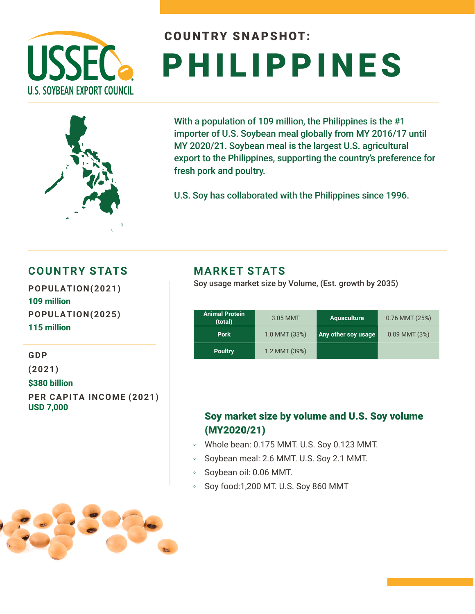

# COUNTRY SNAPSHOT: PHILIPPINES

With a population of 109 million, the Philippines is the #1 importer of U.S. Soybean meal globally from MY 2016/17 until MY 2020/21. Soybean meal is the largest U.S. agricultural export to the Philippines, supporting the country's preference for fresh pork and poultry.

U.S. Soy has collaborated with the Philippines since 1996.

### **COUNTRY STATS**

**POPULATION(2021) 109 million POPULATION(2025) 115 million** 

**GDP** 

**(2021)**

**\$380 billion**

**PER CAPITA INCOME (2021) USD 7,000**

#### **MARKET STATS**

Soy usage market size by Volume, (Est. growth by 2035)

| <b>Animal Protein</b><br>(total) | 3.05 MMT      | <b>Aquaculture</b>  | 0.76 MMT (25%)    |  |
|----------------------------------|---------------|---------------------|-------------------|--|
| <b>Pork</b>                      | 1.0 MMT (33%) | Any other soy usage | $0.09$ MMT $(3%)$ |  |
| <b>Poultry</b>                   | 1.2 MMT (39%) |                     |                   |  |

### Soy market size by volume and U.S. Soy volume (MY2020/21)

- Whole bean: 0.175 MMT. U.S. Soy 0.123 MMT.
- Soybean meal: 2.6 MMT. U.S. Soy 2.1 MMT.
- Soybean oil: 0.06 MMT.
- Soy food:1,200 MT. U.S. Soy 860 MMT